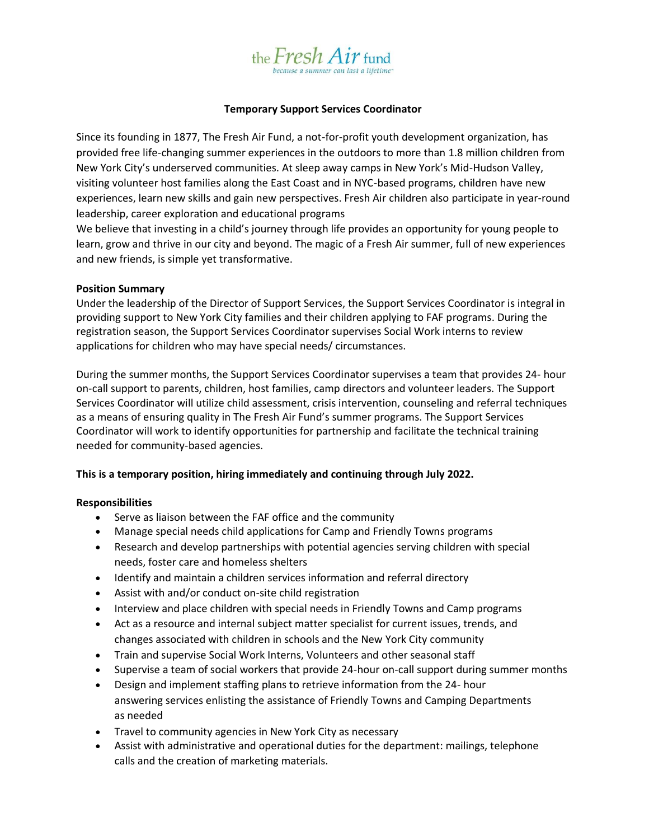

### **Temporary Support Services Coordinator**

Since its founding in 1877, The Fresh Air Fund, a not-for-profit youth development organization, has provided free life-changing summer experiences in the outdoors to more than 1.8 million children from New York City's underserved communities. At sleep away camps in New York's Mid-Hudson Valley, visiting volunteer host families along the East Coast and in NYC-based programs, children have new experiences, learn new skills and gain new perspectives. Fresh Air children also participate in year-round leadership, career exploration and educational programs

We believe that investing in a child's journey through life provides an opportunity for young people to learn, grow and thrive in our city and beyond. The magic of a Fresh Air summer, full of new experiences and new friends, is simple yet transformative.

## **Position Summary**

Under the leadership of the Director of Support Services, the Support Services Coordinator is integral in providing support to New York City families and their children applying to FAF programs. During the registration season, the Support Services Coordinator supervises Social Work interns to review applications for children who may have special needs/ circumstances.

During the summer months, the Support Services Coordinator supervises a team that provides 24- hour on-call support to parents, children, host families, camp directors and volunteer leaders. The Support Services Coordinator will utilize child assessment, crisis intervention, counseling and referral techniques as a means of ensuring quality in The Fresh Air Fund's summer programs. The Support Services Coordinator will work to identify opportunities for partnership and facilitate the technical training needed for community-based agencies.

# **This is a temporary position, hiring immediately and continuing through July 2022.**

# **Responsibilities**

- Serve as liaison between the FAF office and the community
- Manage special needs child applications for Camp and Friendly Towns programs
- Research and develop partnerships with potential agencies serving children with special needs, foster care and homeless shelters
- Identify and maintain a children services information and referral directory
- Assist with and/or conduct on-site child registration
- Interview and place children with special needs in Friendly Towns and Camp programs
- Act as a resource and internal subject matter specialist for current issues, trends, and changes associated with children in schools and the New York City community
- Train and supervise Social Work Interns, Volunteers and other seasonal staff
- Supervise a team of social workers that provide 24-hour on-call support during summer months
- Design and implement staffing plans to retrieve information from the 24- hour answering services enlisting the assistance of Friendly Towns and Camping Departments as needed
- Travel to community agencies in New York City as necessary
- Assist with administrative and operational duties for the department: mailings, telephone calls and the creation of marketing materials.